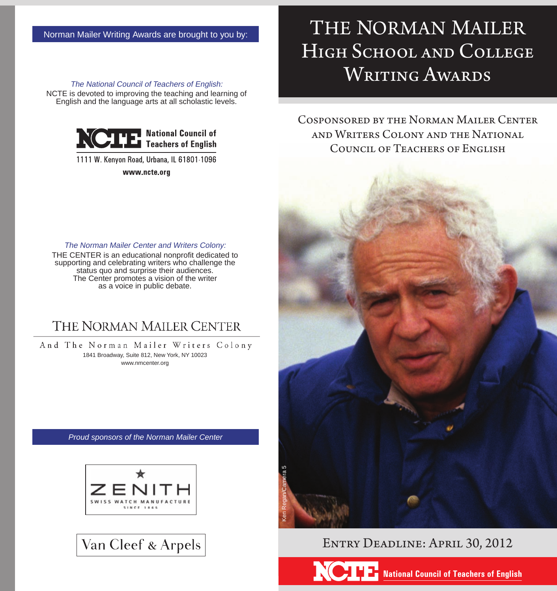The National Council of Teachers of English: NCTE is devoted to improving the teaching and learning of English and the language arts at all scholastic levels.



1111 W. Kenyon Road, Urbana, IL 61801-1096

www.ncte.org

# THE NORMAN MAILER High School and College WRITING AWARDS

Cosponsored by the Norman Mailer Center and Writers Colony and the National Council of Teachers of English



THE CENTER is an educational nonprofit dedicated to supporting and celebrating writers who challenge the status quo and surprise their audiences. The Center promotes a vision of the writer as a voice in public debate.

### THE NORMAN MAILER CENTER

And The Norman Mailer Writers Colony 1841 Broadway, Suite 812, New York, NY 10023 www.nmcenter.org

*Proud sponsors of the Norman Mailer Center*







### Entry Deadline: April 30, 2012